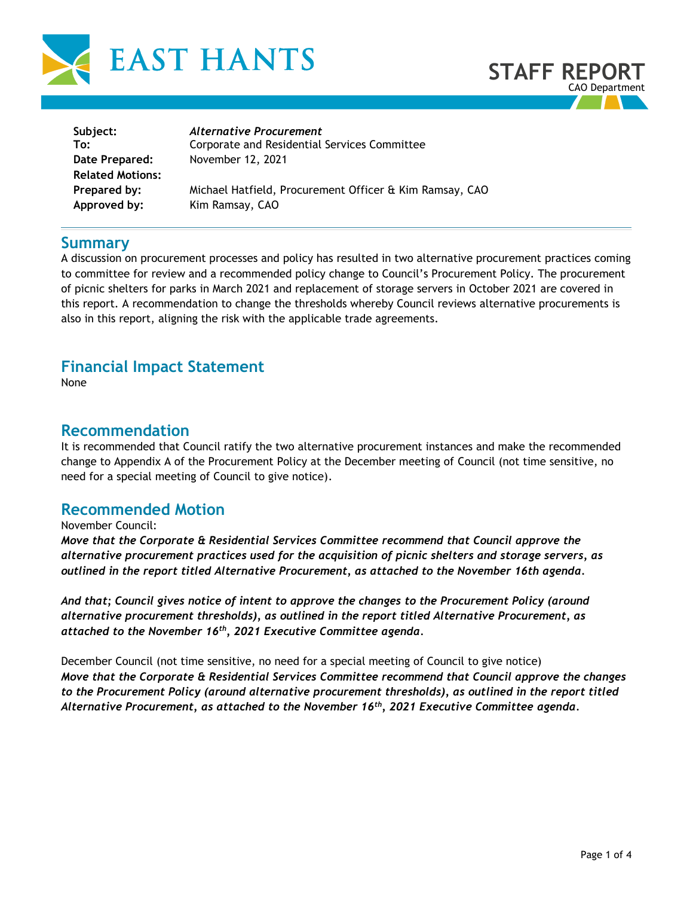



| Subject:                | Alternative Procurement                                 |
|-------------------------|---------------------------------------------------------|
| To:                     | Corporate and Residential Services Committee            |
| Date Prepared:          | November 12, 2021                                       |
| <b>Related Motions:</b> |                                                         |
| Prepared by:            | Michael Hatfield, Procurement Officer & Kim Ramsay, CAO |
| Approved by:            | Kim Ramsay, CAO                                         |
|                         |                                                         |

## **Summary**

A discussion on procurement processes and policy has resulted in two alternative procurement practices coming to committee for review and a recommended policy change to Council's Procurement Policy. The procurement of picnic shelters for parks in March 2021 and replacement of storage servers in October 2021 are covered in this report. A recommendation to change the thresholds whereby Council reviews alternative procurements is also in this report, aligning the risk with the applicable trade agreements.

# **Financial Impact Statement**

None

## **Recommendation**

It is recommended that Council ratify the two alternative procurement instances and make the recommended change to Appendix A of the Procurement Policy at the December meeting of Council (not time sensitive, no need for a special meeting of Council to give notice).

# **Recommended Motion**

## November Council:

*Move that the Corporate & Residential Services Committee recommend that Council approve the alternative procurement practices used for the acquisition of picnic shelters and storage servers, as outlined in the report titled Alternative Procurement, as attached to the November 16th agenda.*

*And that; Council gives notice of intent to approve the changes to the Procurement Policy (around alternative procurement thresholds), as outlined in the report titled Alternative Procurement, as attached to the November 16th, 2021 Executive Committee agenda.* 

December Council (not time sensitive, no need for a special meeting of Council to give notice) *Move that the Corporate & Residential Services Committee recommend that Council approve the changes to the Procurement Policy (around alternative procurement thresholds), as outlined in the report titled Alternative Procurement, as attached to the November 16th, 2021 Executive Committee agenda.*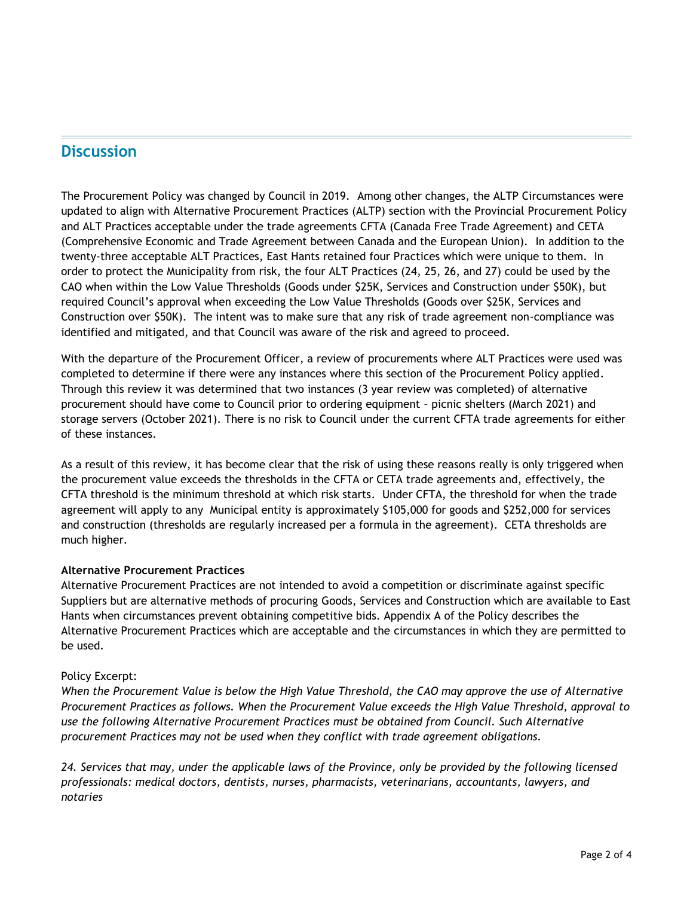# **Discussion**

The Procurement Policy was changed by Council in 2019. Among other changes, the ALTP Circumstances were updated to align with Alternative Procurement Practices (ALTP) section with the Provincial Procurement Policy and ALT Practices acceptable under the trade agreements CFTA (Canada Free Trade Agreement) and CETA (Comprehensive Economic and Trade Agreement between Canada and the European Union). In addition to the twenty-three acceptable ALT Practices, East Hants retained four Practices which were unique to them. In order to protect the Municipality from risk, the four ALT Practices (24, 25, 26, and 27) could be used by the CAO when within the Low Value Thresholds (Goods under \$25K, Services and Construction under \$50K), but required Council's approval when exceeding the Low Value Thresholds (Goods over \$25K, Services and Construction over \$50K). The intent was to make sure that any risk of trade agreement non-compliance was identified and mitigated, and that Council was aware of the risk and agreed to proceed.

With the departure of the Procurement Officer, a review of procurements where ALT Practices were used was completed to determine if there were any instances where this section of the Procurement Policy applied. Through this review it was determined that two instances (3 year review was completed) of alternative procurement should have come to Council prior to ordering equipment – picnic shelters (March 2021) and storage servers (October 2021). There is no risk to Council under the current CFTA trade agreements for either of these instances.

As a result of this review, it has become clear that the risk of using these reasons really is only triggered when the procurement value exceeds the thresholds in the CFTA or CETA trade agreements and, effectively, the CFTA threshold is the minimum threshold at which risk starts. Under CFTA, the threshold for when the trade agreement will apply to any Municipal entity is approximately \$105,000 for goods and \$252,000 for services and construction (thresholds are regularly increased per a formula in the agreement). CETA thresholds are much higher.

## **Alternative Procurement Practices**

Alternative Procurement Practices are not intended to avoid a competition or discriminate against specific Suppliers but are alternative methods of procuring Goods, Services and Construction which are available to East Hants when circumstances prevent obtaining competitive bids. Appendix A of the Policy describes the Alternative Procurement Practices which are acceptable and the circumstances in which they are permitted to be used.

#### Policy Excerpt:

*When the Procurement Value is below the High Value Threshold, the CAO may approve the use of Alternative Procurement Practices as follows. When the Procurement Value exceeds the High Value Threshold, approval to use the following Alternative Procurement Practices must be obtained from Council. Such Alternative procurement Practices may not be used when they conflict with trade agreement obligations.* 

*24. Services that may, under the applicable laws of the Province, only be provided by the following licensed professionals: medical doctors, dentists, nurses, pharmacists, veterinarians, accountants, lawyers, and notaries*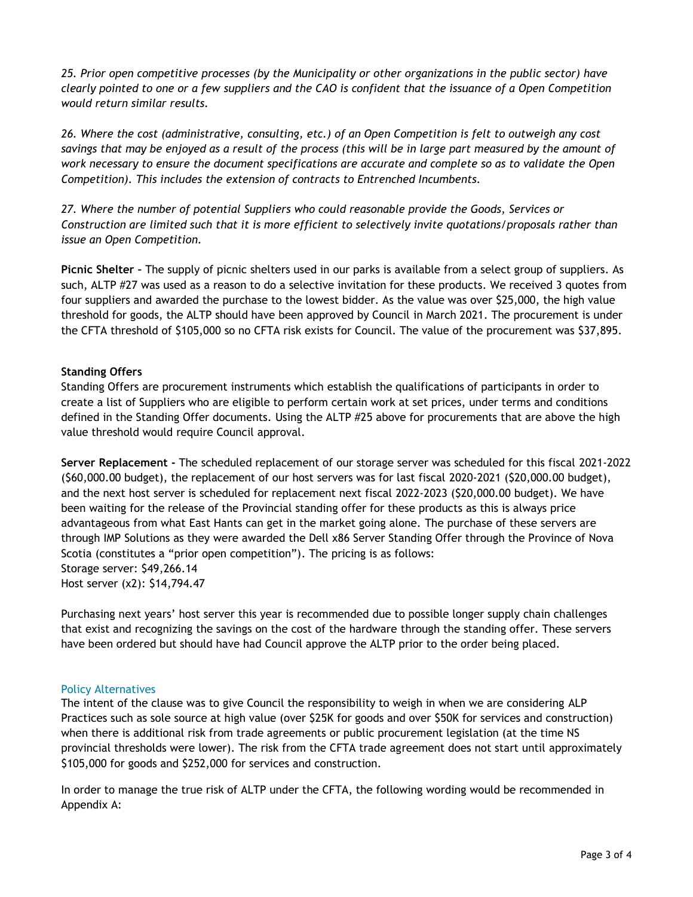*25. Prior open competitive processes (by the Municipality or other organizations in the public sector) have clearly pointed to one or a few suppliers and the CAO is confident that the issuance of a Open Competition would return similar results.* 

*26. Where the cost (administrative, consulting, etc.) of an Open Competition is felt to outweigh any cost savings that may be enjoyed as a result of the process (this will be in large part measured by the amount of work necessary to ensure the document specifications are accurate and complete so as to validate the Open Competition). This includes the extension of contracts to Entrenched Incumbents.* 

*27. Where the number of potential Suppliers who could reasonable provide the Goods, Services or Construction are limited such that it is more efficient to selectively invite quotations/proposals rather than issue an Open Competition.*

**Picnic Shelter –** The supply of picnic shelters used in our parks is available from a select group of suppliers. As such, ALTP #27 was used as a reason to do a selective invitation for these products. We received 3 quotes from four suppliers and awarded the purchase to the lowest bidder. As the value was over \$25,000, the high value threshold for goods, the ALTP should have been approved by Council in March 2021. The procurement is under the CFTA threshold of \$105,000 so no CFTA risk exists for Council. The value of the procurement was \$37,895.

## **Standing Offers**

Standing Offers are procurement instruments which establish the qualifications of participants in order to create a list of Suppliers who are eligible to perform certain work at set prices, under terms and conditions defined in the Standing Offer documents. Using the ALTP #25 above for procurements that are above the high value threshold would require Council approval.

**Server Replacement -** The scheduled replacement of our storage server was scheduled for this fiscal 2021-2022 (\$60,000.00 budget), the replacement of our host servers was for last fiscal 2020-2021 (\$20,000.00 budget), and the next host server is scheduled for replacement next fiscal 2022-2023 (\$20,000.00 budget). We have been waiting for the release of the Provincial standing offer for these products as this is always price advantageous from what East Hants can get in the market going alone. The purchase of these servers are through IMP Solutions as they were awarded the Dell x86 Server Standing Offer through the Province of Nova Scotia (constitutes a "prior open competition"). The pricing is as follows: Storage server: \$49,266.14 Host server (x2): \$14,794.47

Purchasing next years' host server this year is recommended due to possible longer supply chain challenges that exist and recognizing the savings on the cost of the hardware through the standing offer. These servers have been ordered but should have had Council approve the ALTP prior to the order being placed.

#### Policy Alternatives

The intent of the clause was to give Council the responsibility to weigh in when we are considering ALP Practices such as sole source at high value (over \$25K for goods and over \$50K for services and construction) when there is additional risk from trade agreements or public procurement legislation (at the time NS provincial thresholds were lower). The risk from the CFTA trade agreement does not start until approximately \$105,000 for goods and \$252,000 for services and construction.

In order to manage the true risk of ALTP under the CFTA, the following wording would be recommended in Appendix A: